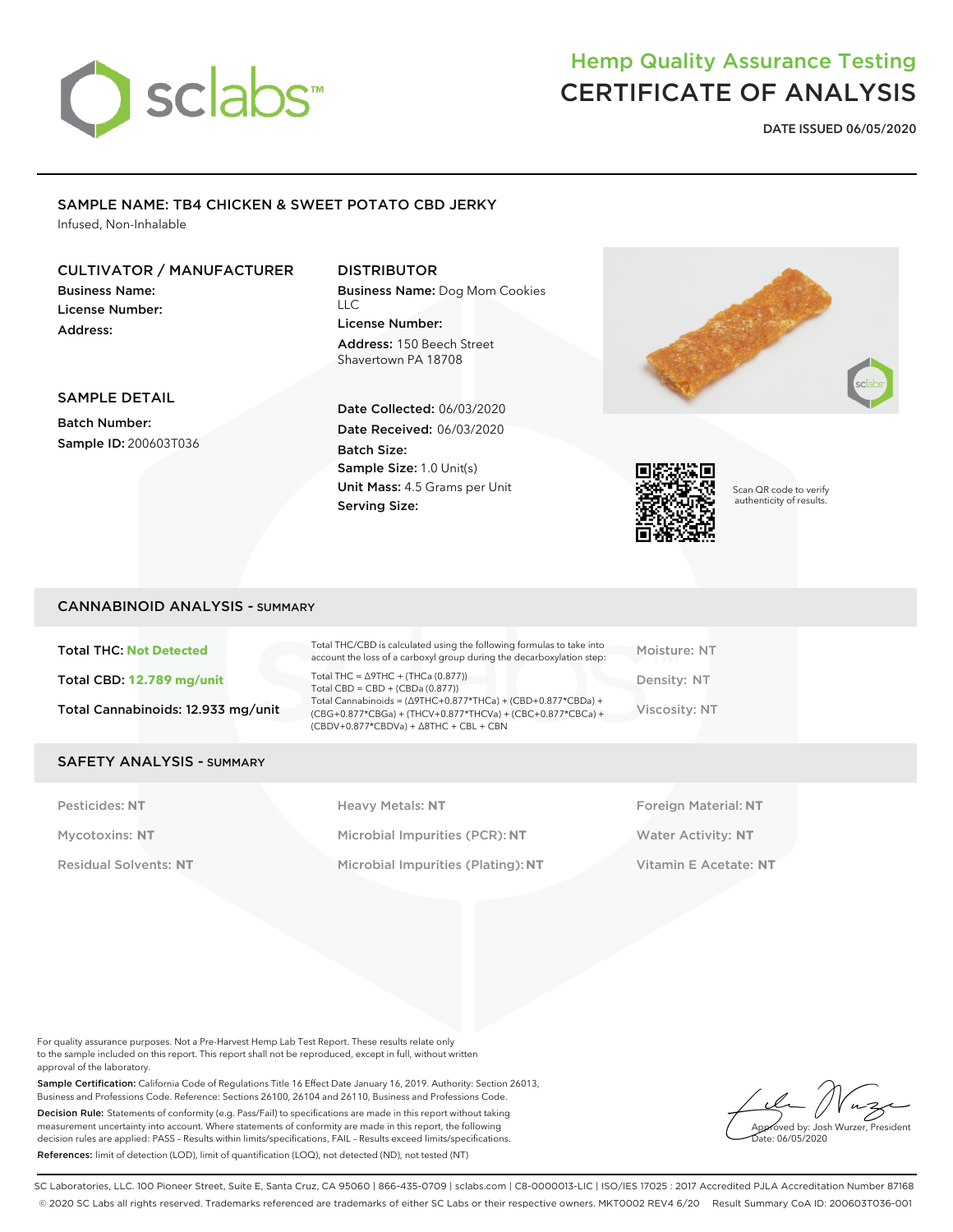# sclabs<sup>\*</sup>

## Hemp Quality Assurance Testing CERTIFICATE OF ANALYSIS

**DATE ISSUED 06/05/2020**

## SAMPLE NAME: TB4 CHICKEN & SWEET POTATO CBD JERKY

Infused, Non-Inhalable

#### CULTIVATOR / MANUFACTURER

Business Name: License Number: Address:

#### SAMPLE DETAIL

Batch Number: Sample ID: 200603T036

#### DISTRIBUTOR

Business Name: Dog Mom Cookies LLC License Number: Address: 150 Beech Street Shavertown PA 18708

Date Collected: 06/03/2020 Date Received: 06/03/2020 Batch Size: Sample Size: 1.0 Unit(s) Unit Mass: 4.5 Grams per Unit Serving Size:





Scan QR code to verify authenticity of results.

#### CANNABINOID ANALYSIS - SUMMARY

| <b>Total THC: Not Detected</b>     | Total THC/CBD is calculated using the following formulas to take into<br>account the loss of a carboxyl group during the decarboxylation step:                                                                                                                              | Moisture: NT  |
|------------------------------------|-----------------------------------------------------------------------------------------------------------------------------------------------------------------------------------------------------------------------------------------------------------------------------|---------------|
| Total CBD: 12.789 mg/unit          | Total THC = $\triangle$ 9THC + (THCa (0.877))<br>Total CBD = $CBD + (CBDa (0.877))$<br>Total Cannabinoids = $(\Delta$ 9THC+0.877*THCa) + (CBD+0.877*CBDa) +<br>(CBG+0.877*CBGa) + (THCV+0.877*THCVa) + (CBC+0.877*CBCa) +<br>$(CBDV+0.877*CBDVa) + \Delta 8THC + CBL + CBN$ | Density: NT   |
| Total Cannabinoids: 12.933 mg/unit |                                                                                                                                                                                                                                                                             | Viscosity: NT |

#### SAFETY ANALYSIS - SUMMARY

Pesticides: **NT** Mycotoxins: **NT** Residual Solvents: **NT** Heavy Metals: **NT** Microbial Impurities (PCR): **NT**

Microbial Impurities (Plating): **NT**

Foreign Material: **NT** Water Activity: **NT** Vitamin E Acetate: **NT**

For quality assurance purposes. Not a Pre-Harvest Hemp Lab Test Report. These results relate only to the sample included on this report. This report shall not be reproduced, except in full, without written approval of the laboratory.

Sample Certification: California Code of Regulations Title 16 Effect Date January 16, 2019. Authority: Section 26013, Business and Professions Code. Reference: Sections 26100, 26104 and 26110, Business and Professions Code. Decision Rule: Statements of conformity (e.g. Pass/Fail) to specifications are made in this report without taking measurement uncertainty into account. Where statements of conformity are made in this report, the following decision rules are applied: PASS – Results within limits/specifications, FAIL – Results exceed limits/specifications. References: limit of detection (LOD), limit of quantification (LOQ), not detected (ND), not tested (NT)

Approved by: Josh Wurzer, President ate: 06/05/2020

SC Laboratories, LLC. 100 Pioneer Street, Suite E, Santa Cruz, CA 95060 | 866-435-0709 | sclabs.com | C8-0000013-LIC | ISO/IES 17025 : 2017 Accredited PJLA Accreditation Number 87168 © 2020 SC Labs all rights reserved. Trademarks referenced are trademarks of either SC Labs or their respective owners. MKT0002 REV4 6/20 Result Summary CoA ID: 200603T036-001